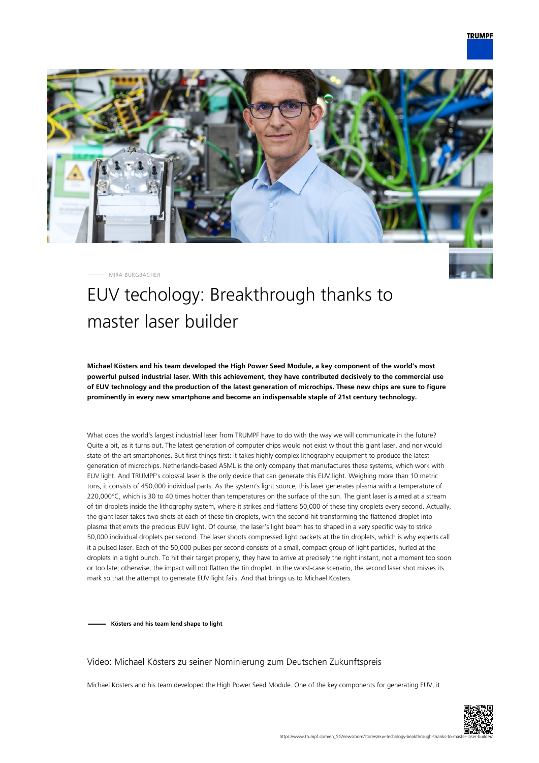

MIRA BURGBACHER

# EUV techology: Breakthrough thanks to master laser builder

**Michael Kösters and his team developed the High Power Seed Module, a key component of the world's most powerful pulsed industrial laser. With this achievement, they have contributed decisively to the commercial use of EUV technology and the production of the latest generation of microchips. These new chips are sure to figure prominently in every new smartphone and become an indispensable staple of 21st century technology.**

What does the world's largest industrial laser from TRUMPF have to do with the way we will communicate in the future? Quite a bit, as it turns out. The latest generation of computer chips would not exist without this giant laser, and nor would state-of-the-art smartphones. But first things first: It takes highly complex lithography equipment to produce the latest generation of microchips. Netherlands-based ASML is the only company that manufactures these systems, which work with EUV light. And TRUMPF's colossal laser is the only device that can generate this EUV light. Weighing more than 10 metric tons, it consists of 450,000 individual parts. As the system's light source, this laser generates plasma with a temperature of 220,000°C, which is 30 to 40 times hotter than temperatures on the surface of the sun. The giant laser is aimed at a stream of tin droplets inside the lithography system, where it strikes and flattens 50,000 of these tiny droplets every second. Actually, the giant laser takes two shots at each of these tin droplets, with the second hit transforming the flattened droplet into plasma that emits the precious EUV light. Of course, the laser's light beam has to shaped in a very specific way to strike 50,000 individual droplets per second. The laser shoots compressed light packets at the tin droplets, which is why experts call it a pulsed laser. Each of the 50,000 pulses per second consists of a small, compact group of light particles, hurled at the droplets in a tight bunch. To hit their target properly, they have to arrive at precisely the right instant, not a moment too soon or too late; otherwise, the impact will not flatten the tin droplet. In the worst-case scenario, the second laser shot misses its mark so that the attempt to generate EUV light fails. And that brings us to Michael Kösters.

**Kösters and his team lend shape to light**

#### Video: Michael Kösters zu seiner Nominierung zum Deutschen Zukunftspreis

Michael Kösters and his team developed the High Power Seed Module. One of the key components for generating EUV, it

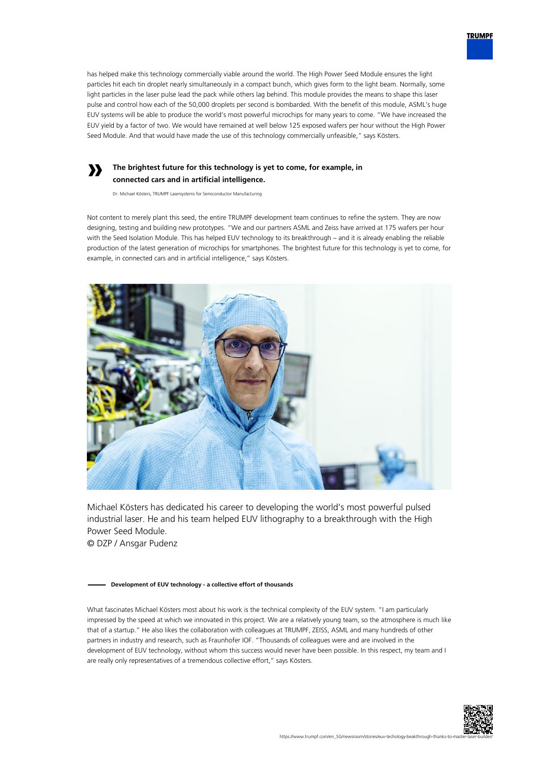

### **The brightest future for this technology is yet to come, for example, in connected cars and in artificial intelligence.**

Dr. Michael Kösters, TRUMPF Lasersystems for Semiconductor Manufacturing

**»**

Not content to merely plant this seed, the entire TRUMPF development team continues to refine the system. They are now designing, testing and building new prototypes. "We and our partners ASML and Zeiss have arrived at 175 wafers per hour with the Seed Isolation Module. This has helped EUV technology to its breakthrough – and it is already enabling the reliable production of the latest generation of microchips for smartphones. The brightest future for this technology is yet to come, for example, in connected cars and in artificial intelligence," says Kösters.



Michael Kösters has dedicated his career to developing the world's most powerful pulsed industrial laser. He and his team helped EUV lithography to a breakthrough with the High Power Seed Module. © DZP / Ansgar Pudenz

#### **Development of EUV technology - a collective effort of thousands**

What fascinates Michael Kösters most about his work is the technical complexity of the EUV system. "I am particularly impressed by the speed at which we innovated in this project. We are a relatively young team, so the atmosphere is much like that of a startup." He also likes the collaboration with colleagues at TRUMPF, ZEISS, ASML and many hundreds of other partners in industry and research, such as Fraunhofer IOF. "Thousands of colleagues were and are involved in the development of EUV technology, without whom this success would never have been possible. In this respect, my team and I are really only representatives of a tremendous collective effort," says Kösters.



**TRUMPF**